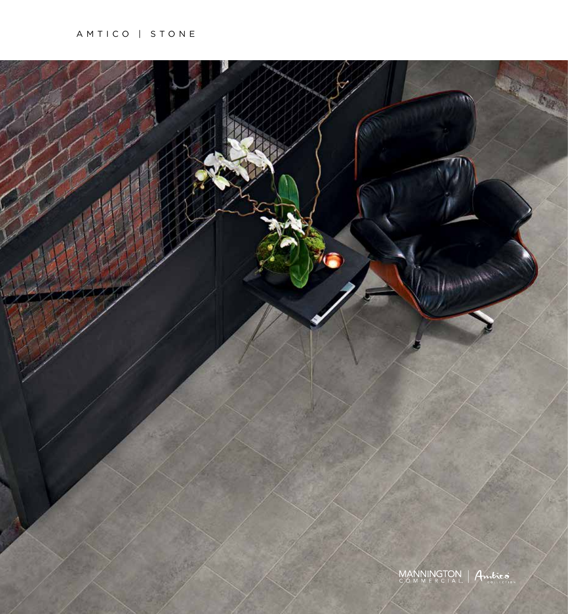## AMTICO | STONE

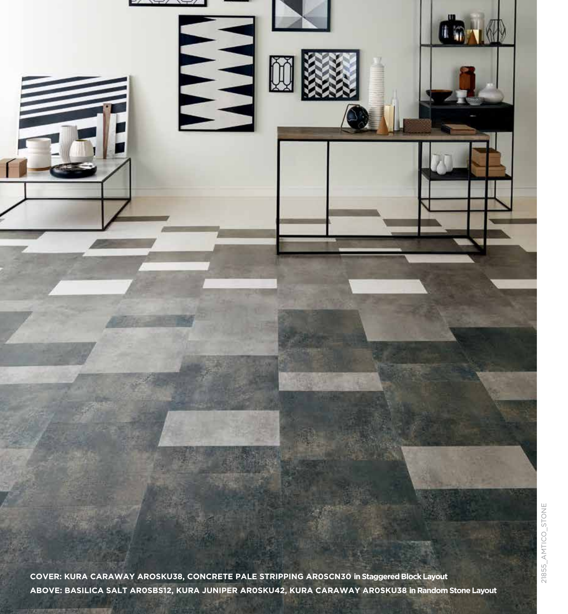

**ABOVE: BASILICA SALT AR0SBS12, KURA JUNIPER AR0SKU42, KURA CARAWAY AR0SKU38 in Random Stone Layout**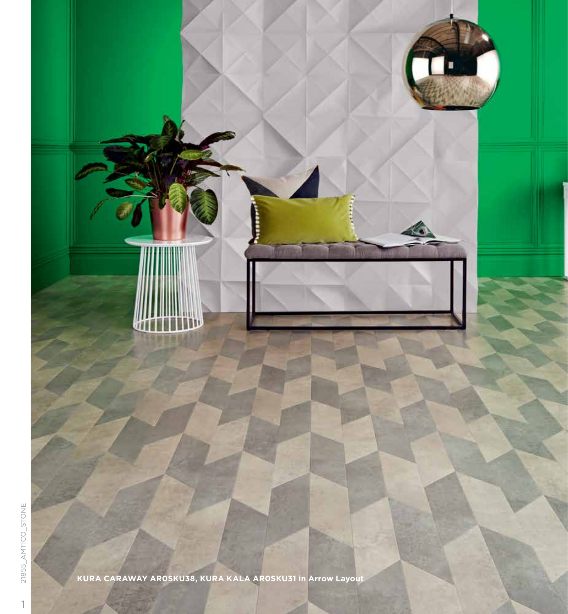

**KURA CARAWAY AR0SKU38, KURA KALA AR0SKU31 in Arrow Layout**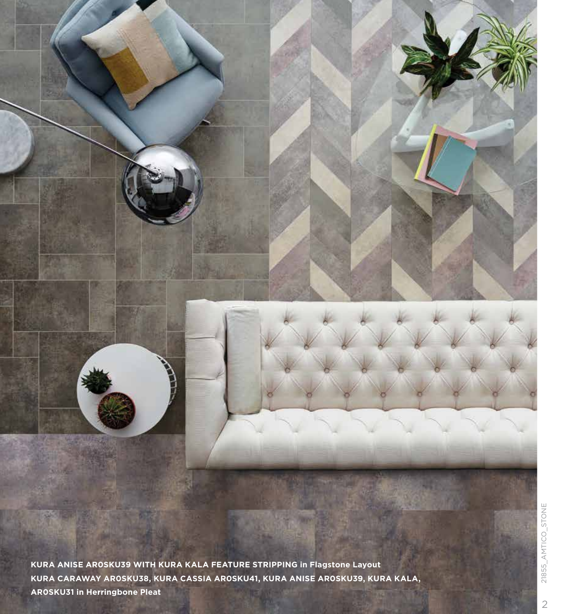**KURA ANISE AR0SKU39 WITH KURA KALA FEATURE STRIPPING in Flagstone Layout KURA CARAWAY AR0SKU38, KURA CASSIA AR0SKU41, KURA ANISE AR0SKU39, KURA KALA, AR0SKU31 in Herringbone Pleat**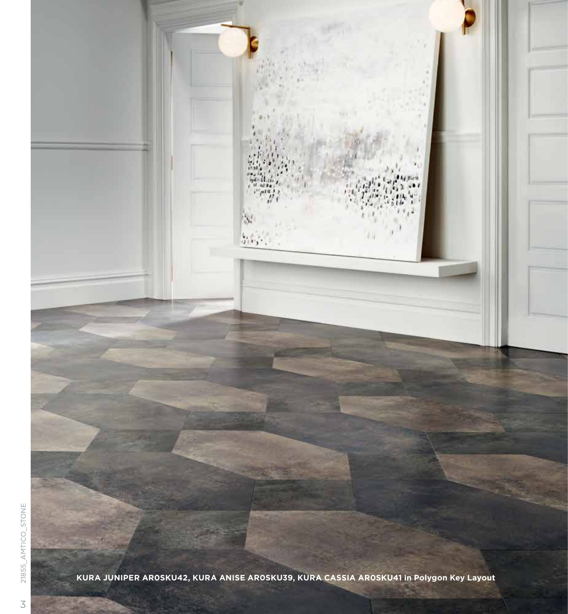

 $M$  added  $r^{(n)},$ 

 $\mathcal{M}$ 

好好。

s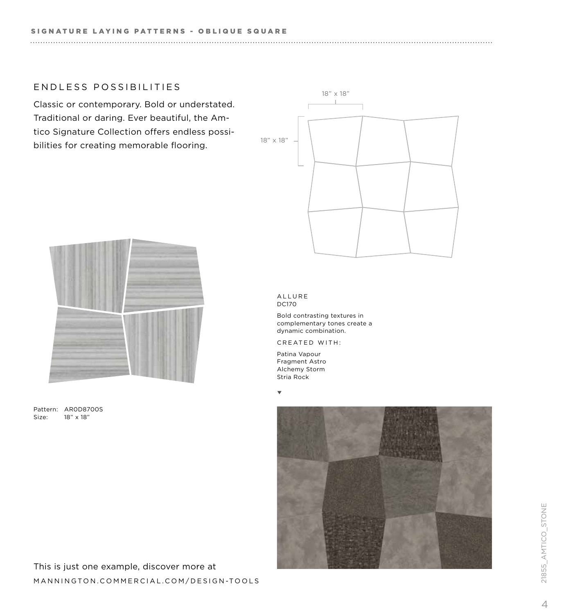## ENDLESS POSSIBILITIES

Classic or contemporary. Bold or understated. Traditional or daring. Ever beautiful, the Amtico Signature Collection offers endless possibilities for creating memorable flooring.





Pattern: AR0D8700S Size: 18" x 18"

#### ALLURE DC170

Bold contrasting textures in complementary tones create a dynamic combination.

CREATED WITH:

Patina Vapour Fragment Astro Alchemy Storm Stria Rock

 $\overline{\mathbf{v}}$ 

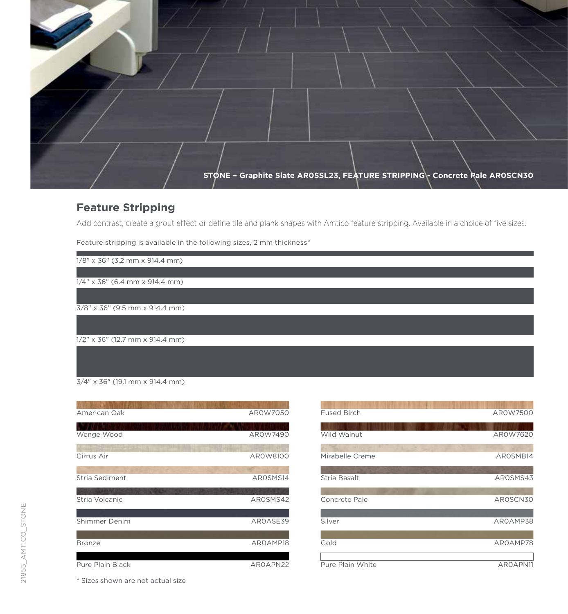**STONE – Graphite Slate AR0SSL23, FEATURE STRIPPING - Concrete Pale AR0SCN30**

# **Feature Stripping**

Add contrast, create a grout effect or define tile and plank shapes with Amtico feature stripping. Available in a choice of five sizes.

Feature stripping is available in the following sizes, 2 mm thickness\*

1/8" x 36" (3.2 mm x 914.4 mm)

1/4" x 36" (6.4 mm x 914.4 mm)

3/8" x 36" (9.5 mm x 914.4 mm)

1/2" x 36" (12.7 mm x 914.4 mm)

3/4" x 36" (19.1 mm x 914.4 mm)

| American Oak                            | AR0W7050     |
|-----------------------------------------|--------------|
| Wenge Wood                              | AR0W7490     |
| Cirrus Air                              | AR0W8100     |
| Stria Sediment                          | AROSMS14     |
| <b>LIVE AND ABOUT</b><br>Stria Volcanic | AROSMS42     |
| Shimmer Denim                           | AROASE39     |
| <b>Bronze</b>                           | AROAMP18     |
| Duro Dlain Black                        | A DO A DNICO |

| American Oak     | AR0W7050 | <b>Fused Birch</b> | AR0W7500 |
|------------------|----------|--------------------|----------|
| Wenge Wood       | AR0W7490 | Wild Walnut        | AR0W7620 |
|                  |          |                    |          |
| Cirrus Air       | AR0W8100 | Mirabelle Creme    | AROSMB14 |
| Stria Sediment   | AROSMS14 | Stria Basalt       | AROSMS43 |
|                  |          |                    |          |
| Stria Volcanic   | AROSMS42 | Concrete Pale      | AROSCN30 |
| Shimmer Denim    | AROASE39 | Silver             | AROAMP38 |
| <b>Bronze</b>    | AROAMP18 | Gold               | AROAMP78 |
| Pure Plain Black | AROAPN22 | Pure Plain White   | AROAPN11 |

\* Sizes shown are not actual size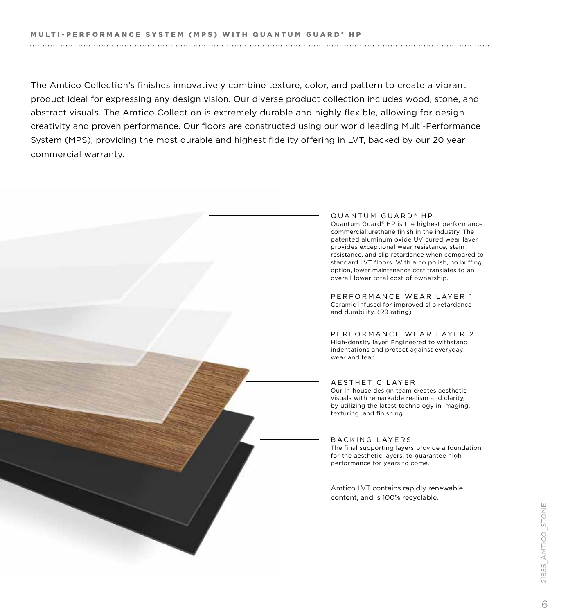The Amtico Collection's finishes innovatively combine texture, color, and pattern to create a vibrant product ideal for expressing any design vision. Our diverse product collection includes wood, stone, and abstract visuals. The Amtico Collection is extremely durable and highly flexible, allowing for design creativity and proven performance. Our floors are constructed using our world leading Multi-Performance System (MPS), providing the most durable and highest fidelity offering in LVT, backed by our 20 year commercial warranty.



QUANTUM GUARD<sup>®</sup> HP Quantum Guard® HP is the highest performance commercial urethane finish in the industry. The patented aluminum oxide UV cured wear layer provides exceptional wear resistance, stain resistance, and slip retardance when compared to standard LVT floors. With a no polish, no buffing option, lower maintenance cost translates to an overall lower total cost of ownership.

PERFORMANCE WEAR LAYER 1 Ceramic infused for improved slip retardance and durability. (R9 rating)

PERFORMANCE WEAR LAYER 2 High-density layer. Engineered to withstand indentations and protect against everyday

AESTHETIC LAYER Our in-house design team creates aesthetic visuals with remarkable realism and clarity, by utilizing the latest technology in imaging, texturing, and finishing.

BACKING LAYERS The final supporting layers provide a foundation for the aesthetic layers, to guarantee high performance for years to come.

Amtico LVT contains rapidly renewable content, and is 100% recyclable.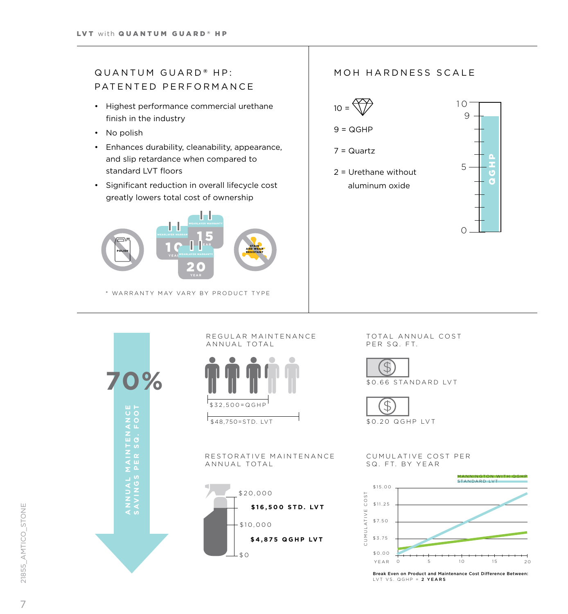## QUANTUM GUARD **®** HP: PATENTED PERFORMANCE

- Highest performance commercial urethane finish in the industry
- No polish
- Enhances durability, cleanability, appearance, and slip retardance when compared to standard LVT floors
- Significant reduction in overall lifecycle cost greatly lowers total cost of ownership



\* WARRANTY MAY VARY BY PRODUCT TYPE

## MOH HARDNESS SCALE



 $9 = QGHP$ 

7 = Quartz

2 = Urethane without aluminum oxide



**70%**ANNAL MAINTENANCE<br>SAVINGS PER SG. FOOT PER<sub>S</sub>

REGULAR MAINTENANCE ANNUAL TOTAL



 $\sqrt{$48,750=STD}$ . LVT

RESTORATIVE MAINTENANCE ANNUAL TOTAL



TOTAL ANNUAL COST PER SQ. FT.





#### CUMULATIVE COST PER SQ. FT. BY YEAR



Break Even on Product and Maintenance Cost Difference Between: LVT VS. QGHP = 2 YEARS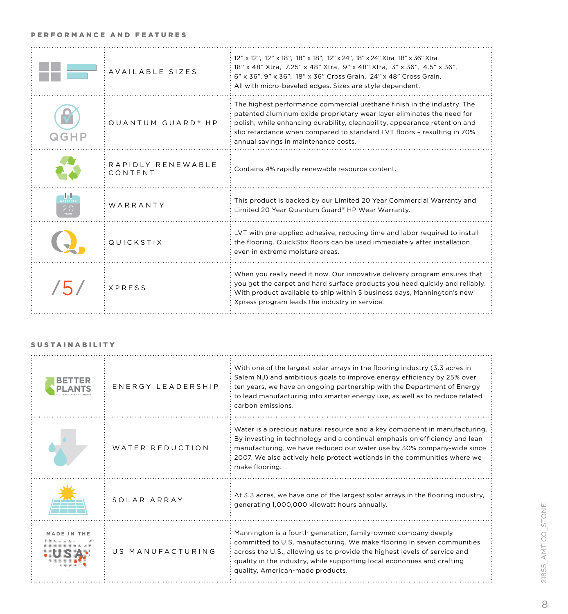### PERFORMANCE AND FEATURES

|      | AVAILABLE SIZES               | 12" x 12", 12" x 18", 18" x 18", 12" x 24", 18" x 24" Xtra, 18" x 36" Xtra,<br>18" x 48" Xtra, 7.25" x 48" Xtra, 9" x 48" Xtra, 3" x 36", 4.5" x 36",<br>6" x 36", 9" x 36", 18" x 36" Cross Grain, 24" x 48" Cross Grain.<br>All with micro-beveled edges. Sizes are style dependent.                                                             |
|------|-------------------------------|----------------------------------------------------------------------------------------------------------------------------------------------------------------------------------------------------------------------------------------------------------------------------------------------------------------------------------------------------|
| QGHP | QUANTUM GUARD <sup>®</sup> HP | The highest performance commercial urethane finish in the industry. The<br>patented aluminum oxide proprietary wear layer eliminates the need for<br>polish, while enhancing durability, cleanability, appearance retention and<br>slip retardance when compared to standard LVT floors - resulting in 70%<br>annual savings in maintenance costs. |
|      | RAPIDLY RENEWABLE<br>CONTENT  | Contains 4% rapidly renewable resource content.                                                                                                                                                                                                                                                                                                    |
|      | WARRANTY                      | This product is backed by our Limited 20 Year Commercial Warranty and<br>Limited 20 Year Quantum Guard® HP Wear Warranty.                                                                                                                                                                                                                          |
|      | QUICKSTIX                     | LVT with pre-applied adhesive, reducing time and labor required to install<br>the flooring. QuickStix floors can be used immediately after installation,<br>even in extreme moisture areas.                                                                                                                                                        |
|      | <b>XPRFSS</b>                 | When you really need it now. Our innovative delivery program ensures that<br>you get the carpet and hard surface products you need quickly and reliably.<br>With product available to ship within 5 business days, Mannington's new<br>Xpress program leads the industry in service.                                                               |

### SUSTAINABILITY

| ENERGY LEADERSHIP | With one of the largest solar arrays in the flooring industry (3.3 acres in<br>Salem NJ) and ambitious goals to improve energy efficiency by 25% over<br>ten years, we have an ongoing partnership with the Department of Energy<br>to lead manufacturing into smarter energy use, as well as to reduce related<br>carbon emissions. |
|-------------------|--------------------------------------------------------------------------------------------------------------------------------------------------------------------------------------------------------------------------------------------------------------------------------------------------------------------------------------|
| WATER REDUCTION   | Water is a precious natural resource and a key component in manufacturing.<br>By investing in technology and a continual emphasis on efficiency and lean<br>manufacturing, we have reduced our water use by 30% company-wide since<br>2007. We also actively help protect wetlands in the communities where we<br>make flooring.     |
| SOI AR ARRAY      | At 3.3 acres, we have one of the largest solar arrays in the flooring industry,<br>generating 1,000,000 kilowatt hours annually.                                                                                                                                                                                                     |
| US MANUFACTURING  | Mannington is a fourth generation, family-owned company deeply<br>committed to U.S. manufacturing. We make flooring in seven communities<br>across the U.S., allowing us to provide the highest levels of service and<br>quality in the industry, while supporting local economies and crafting<br>quality, American-made products.  |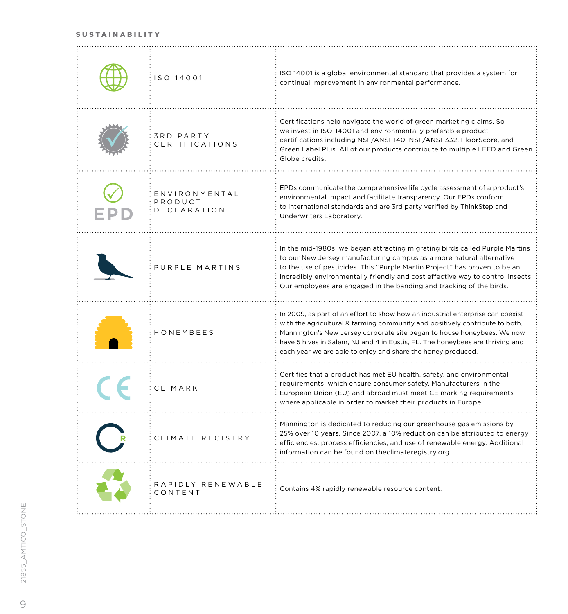#### SUSTAINABILITY

| ISO 14001                                      | ISO 14001 is a global environmental standard that provides a system for<br>continual improvement in environmental performance.                                                                                                                                                                                                                                                             |
|------------------------------------------------|--------------------------------------------------------------------------------------------------------------------------------------------------------------------------------------------------------------------------------------------------------------------------------------------------------------------------------------------------------------------------------------------|
| <b>3RD PARTY</b><br><b>CERTIFICATIONS</b>      | Certifications help navigate the world of green marketing claims. So<br>we invest in ISO-14001 and environmentally preferable product<br>certifications including NSF/ANSI-140, NSF/ANSI-332, FloorScore, and<br>Green Label Plus. All of our products contribute to multiple LEED and Green<br>Globe credits.                                                                             |
| ENVIRONMENTAL<br>PRODUCT<br><b>DECLARATION</b> | EPDs communicate the comprehensive life cycle assessment of a product's<br>environmental impact and facilitate transparency. Our EPDs conform<br>to international standards and are 3rd party verified by ThinkStep and<br>Underwriters Laboratory.                                                                                                                                        |
| PURPLE MARTINS                                 | In the mid-1980s, we began attracting migrating birds called Purple Martins<br>to our New Jersey manufacturing campus as a more natural alternative<br>to the use of pesticides. This "Purple Martin Project" has proven to be an<br>incredibly environmentally friendly and cost effective way to control insects.<br>Our employees are engaged in the banding and tracking of the birds. |
| <b>HONEYBEES</b>                               | In 2009, as part of an effort to show how an industrial enterprise can coexist<br>with the agricultural & farming community and positively contribute to both,<br>Mannington's New Jersey corporate site began to house honeybees. We now<br>have 5 hives in Salem, NJ and 4 in Eustis, FL. The honeybees are thriving and<br>each year we are able to enjoy and share the honey produced. |
| CE MARK                                        | Certifies that a product has met EU health, safety, and environmental<br>requirements, which ensure consumer safety. Manufacturers in the<br>European Union (EU) and abroad must meet CE marking requirements<br>where applicable in order to market their products in Europe.                                                                                                             |
| CLIMATE REGISTRY                               | Mannington is dedicated to reducing our greenhouse gas emissions by<br>25% over 10 years. Since 2007, a 10% reduction can be attributed to energy<br>efficiencies, process efficiencies, and use of renewable energy. Additional<br>information can be found on theclimateregistry.org.                                                                                                    |
| RAPIDLY RENEWABLE<br>CONTENT                   | Contains 4% rapidly renewable resource content.                                                                                                                                                                                                                                                                                                                                            |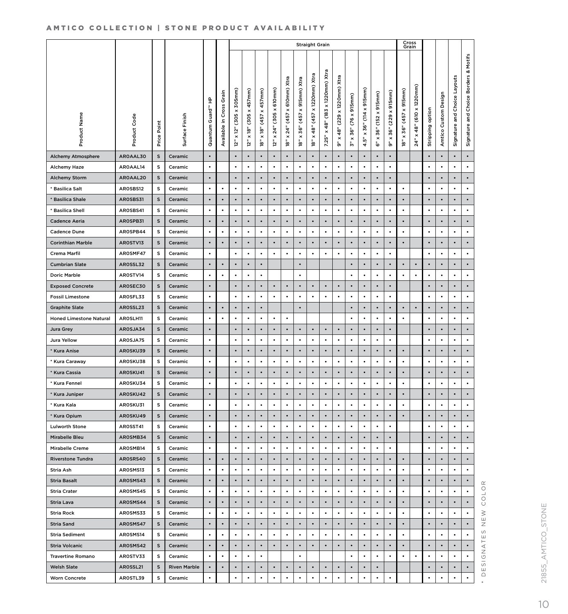### AMTICO COLLECTION | STONE PRODUCT AVAILABILITY

|                                |              |                |                     |                                   |                                   | <b>Straight Grain</b>         |                                        |                                          |                                                              |                                             |                                                     |                                                           |                                                          | Cross<br>Grain                                     |                                                            |                                                                                         |                                                      |                                                      |                                                       |                                                  |                  |                         |                                    |                                       |
|--------------------------------|--------------|----------------|---------------------|-----------------------------------|-----------------------------------|-------------------------------|----------------------------------------|------------------------------------------|--------------------------------------------------------------|---------------------------------------------|-----------------------------------------------------|-----------------------------------------------------------|----------------------------------------------------------|----------------------------------------------------|------------------------------------------------------------|-----------------------------------------------------------------------------------------|------------------------------------------------------|------------------------------------------------------|-------------------------------------------------------|--------------------------------------------------|------------------|-------------------------|------------------------------------|---------------------------------------|
| Product Name                   | Product Code | Point<br>Price | Surface Finish      | Guard <sup>14</sup> HP<br>Quantum | Grain<br>Cross<br>요.<br>Available | (305 x 305mm)<br>x 12"<br>is. | $(305 \times 457$ mm)<br>$x$ 18"<br>Ģ, | $x$ 457 $mm$ )<br>(45)<br>$x$ 18"<br>jø, | 610mm)<br>$\ddot{x}$<br>(305)<br>24"<br>$\pmb{\times}$<br>jج | x 610mm) Xtra<br>(457)<br>$\times 24"$<br>ή | x 915mm) Xtra<br>(45)<br>36"<br>$\pmb{\times}$<br>è | Xtra<br>x 1220mm)<br>(45)<br>48"<br>$\pmb{\times}$<br>jø, | x 1220mm) Xtra<br>(183)<br>48"<br>$\pmb{\times}$<br>7.25 | (229 x 1220mm) Xtra<br>48"<br>$\pmb{\times}$<br>ق. | $(76 \times 915 \text{mm})$<br>36"<br>$\pmb{\times}$<br>ĥ٠ | 915mm)<br>$\pmb{\times}$<br>$\overline{114}$<br>36"<br>$\boldsymbol{\times}$<br>î٥<br>4 | $(152 \times 915$ mm)<br>36"<br>$\pmb{\times}$<br>စ် | $(229 \times 915$ mm)<br>36"<br>$\pmb{\times}$<br>ő۰ | $x$ 915 $m$ m)<br>(457)<br>36"<br>$\pmb{\times}$<br>è | $(610 \times 1220$ mm)<br>48"<br>$\times$<br>24" | Stripping option | Custom Design<br>Amtico | Choice Layouts<br>and<br>Signature | Signature and Choice Borders & Motifs |
| <b>Alchemy Atmosphere</b>      | AROAAL30     | s              | Ceramic             | $\bullet$                         |                                   |                               | $\bullet$                              |                                          |                                                              |                                             |                                                     |                                                           |                                                          |                                                    |                                                            |                                                                                         |                                                      |                                                      |                                                       |                                                  |                  |                         |                                    | $\bullet$                             |
| Alchemy Haze                   | AROAAL14     | s              | Ceramic             | $\bullet$                         |                                   | $\bullet$                     | $\bullet$                              | $\bullet$                                | $\bullet$                                                    | $\bullet$                                   | $\bullet$                                           | $\bullet$                                                 | $\bullet$                                                | $\bullet$                                          | $\bullet$                                                  | $\bullet$                                                                               | $\bullet$                                            | $\bullet$                                            |                                                       |                                                  | $\bullet$        | $\bullet$               | $\bullet$                          | $\bullet$                             |
| <b>Alchemy Storm</b>           | AROAAL20     | s              | Ceramic             | $\bullet$                         |                                   | $\bullet$                     | $\bullet$                              | $\bullet$                                | $\bullet$                                                    | $\bullet$                                   | $\bullet$                                           | $\bullet$                                                 | $\bullet$                                                | $\bullet$                                          | $\bullet$                                                  | $\bullet$                                                                               | $\bullet$                                            | $\bullet$                                            |                                                       |                                                  | $\bullet$        | $\bullet$               | $\bullet$                          | $\bullet$                             |
| * Basilica Salt                | AROSBS12     | s              | Ceramic             | ٠                                 | ٠                                 | $\bullet$                     | ٠                                      | ٠                                        | $\bullet$                                                    | $\bullet$                                   | $\bullet$                                           | $\bullet$                                                 | $\bullet$                                                | ٠                                                  | $\bullet$                                                  | ٠                                                                                       | ٠                                                    | ٠                                                    | ٠                                                     |                                                  | $\bullet$        | $\bullet$               | $\bullet$                          | $\bullet$                             |
| * Basilica Shale               | AROSBS31     | s              | Ceramic             | $\bullet$                         |                                   |                               | $\bullet$                              |                                          |                                                              | $\bullet$                                   | $\bullet$                                           |                                                           |                                                          | $\bullet$                                          | $\bullet$                                                  |                                                                                         |                                                      | $\bullet$                                            |                                                       |                                                  | $\bullet$        | $\bullet$               |                                    | ٠                                     |
| <b>Basilica Shell</b>          | AROSBS41     | s              | Ceramic             | $\bullet$                         | ٠                                 | ٠                             | $\bullet$                              | $\bullet$                                | $\bullet$                                                    | ٠                                           | $\bullet$                                           | $\bullet$                                                 | $\bullet$                                                | ٠                                                  | $\bullet$                                                  | ٠                                                                                       | $\bullet$                                            | $\bullet$                                            | ٠                                                     |                                                  | $\bullet$        | $\bullet$               | ٠                                  | $\bullet$                             |
| <b>Cadence Aeria</b>           | AROSPB31     | s              | Ceramic             | $\bullet$                         | $\bullet$                         | $\bullet$                     | $\bullet$                              | $\bullet$                                | $\bullet$                                                    | $\bullet$                                   | $\bullet$                                           | $\bullet$                                                 | $\bullet$                                                | $\bullet$                                          | $\bullet$                                                  | $\bullet$                                                                               | $\bullet$                                            | $\bullet$                                            | $\bullet$                                             |                                                  | $\bullet$        | $\bullet$               | $\bullet$                          | $\bullet$                             |
| <b>Cadence Dune</b>            | AROSPB44     | s              | Ceramic             | $\bullet$                         | ٠                                 | $\bullet$                     | $\bullet$                              | $\bullet$                                | $\bullet$                                                    | $\bullet$                                   | $\bullet$                                           | $\bullet$                                                 | $\bullet$                                                | $\bullet$                                          | $\bullet$                                                  | ٠                                                                                       | $\bullet$                                            | $\bullet$                                            | ٠                                                     |                                                  | $\bullet$        | $\bullet$               | $\bullet$                          | $\bullet$                             |
| <b>Corinthian Marble</b>       | AROSTV13     | s              | Ceramic             | $\bullet$                         | $\bullet$                         | $\bullet$                     | $\bullet$                              | $\bullet$                                | $\bullet$                                                    | $\bullet$                                   | $\bullet$                                           | $\bullet$                                                 | $\bullet$                                                | $\bullet$                                          | $\bullet$                                                  | $\bullet$                                                                               | $\bullet$                                            | $\bullet$                                            |                                                       |                                                  | $\bullet$        | $\bullet$               | $\bullet$                          | $\bullet$                             |
| Crema Marfil                   | AROSMF47     | s              | Ceramic             | $\bullet$                         |                                   |                               | $\bullet$                              | $\bullet$                                |                                                              |                                             | $\bullet$                                           |                                                           |                                                          |                                                    | $\bullet$                                                  |                                                                                         | ٠                                                    |                                                      |                                                       |                                                  | ٠                | $\bullet$               | ٠                                  | $\bullet$                             |
| <b>Cumbrian Slate</b>          | AROSSL32     | S              | Ceramic             | $\bullet$                         | $\bullet$                         |                               | $\bullet$                              | $\bullet$                                |                                                              |                                             | $\bullet$                                           |                                                           |                                                          |                                                    | $\bullet$                                                  | $\bullet$                                                                               | $\bullet$                                            | $\bullet$                                            | $\bullet$                                             | $\bullet$                                        | $\bullet$        | $\bullet$               | $\bullet$                          | ٠                                     |
| <b>Doric Marble</b>            | AROSTV14     | s              | Ceramic             | $\bullet$                         | ٠                                 | ٠                             | $\bullet$                              | $\bullet$                                |                                                              |                                             | $\bullet$                                           |                                                           |                                                          |                                                    | $\bullet$                                                  | ٠                                                                                       | $\bullet$                                            | $\bullet$                                            | ٠                                                     | $\bullet$                                        | $\bullet$        | $\bullet$               | $\bullet$                          | ٠                                     |
| <b>Exposed Concrete</b>        | AROSEC30     | S              | Ceramic             | $\bullet$                         |                                   | $\bullet$                     | $\bullet$                              | $\bullet$                                | $\bullet$                                                    | $\bullet$                                   | $\bullet$                                           | $\bullet$                                                 | $\bullet$                                                | $\bullet$                                          | $\bullet$                                                  | $\bullet$                                                                               | $\bullet$                                            | $\bullet$                                            |                                                       |                                                  | $\bullet$        | $\bullet$               | $\bullet$                          | $\bullet$                             |
| <b>Fossil Limestone</b>        | AROSFL33     | s              | Ceramic             | $\bullet$                         |                                   | $\bullet$                     | $\bullet$                              | $\bullet$                                | $\bullet$                                                    | $\bullet$                                   | $\bullet$                                           |                                                           | $\bullet$                                                |                                                    | $\bullet$                                                  | $\bullet$                                                                               | $\bullet$                                            | $\bullet$                                            |                                                       |                                                  | $\bullet$        | $\bullet$               | $\bullet$                          | ٠                                     |
| <b>Graphite Slate</b>          | AROSSL23     | s              | Ceramic             | $\bullet$                         | $\bullet$                         | $\bullet$                     | $\bullet$                              | $\bullet$                                |                                                              |                                             | $\bullet$                                           |                                                           |                                                          |                                                    | $\bullet$                                                  |                                                                                         | $\bullet$                                            | $\bullet$                                            | $\bullet$                                             | $\bullet$                                        | $\bullet$        | $\bullet$               | $\bullet$                          | $\bullet$                             |
| <b>Honed Limestone Natural</b> | AROSLH11     | s              | Ceramic             | $\bullet$                         | $\bullet$                         | $\bullet$                     | $\bullet$                              | $\bullet$                                | $\bullet$                                                    | ٠                                           |                                                     |                                                           |                                                          |                                                    | $\bullet$                                                  | $\bullet$                                                                               | $\bullet$                                            | $\bullet$                                            | $\bullet$                                             |                                                  | $\bullet$        | $\bullet$               | $\bullet$                          | $\bullet$                             |
| <b>Jura Grey</b>               | AROSJA34     | s              | Ceramic             | $\bullet$                         |                                   | $\bullet$                     | $\bullet$                              | $\bullet$                                | $\bullet$                                                    | $\bullet$                                   | $\bullet$                                           | ٠                                                         | $\bullet$                                                | $\bullet$                                          | $\bullet$                                                  |                                                                                         | $\bullet$                                            | $\bullet$                                            |                                                       |                                                  | $\bullet$        | $\bullet$               | $\bullet$                          | $\bullet$                             |
|                                | AROSJA75     | s              |                     | $\bullet$                         |                                   |                               | $\bullet$                              | ٠                                        | $\bullet$                                                    | $\bullet$                                   | $\bullet$                                           | ٠                                                         | $\bullet$                                                | $\bullet$                                          | $\bullet$                                                  |                                                                                         | $\bullet$                                            | $\bullet$                                            |                                                       |                                                  | ٠                | $\bullet$               | $\bullet$                          | $\bullet$                             |
| Jura Yellow                    |              |                | Ceramic<br>Ceramic  | $\bullet$                         |                                   |                               |                                        |                                          |                                                              |                                             |                                                     |                                                           |                                                          |                                                    |                                                            |                                                                                         |                                                      |                                                      |                                                       |                                                  |                  |                         |                                    | ٠                                     |
| * Kura Anise                   | AROSKU39     | s              |                     | $\bullet$                         |                                   | $\bullet$                     | $\bullet$                              | $\bullet$                                | $\bullet$                                                    | ٠                                           | $\bullet$                                           | $\bullet$                                                 | $\bullet$                                                | $\bullet$                                          | $\bullet$                                                  | $\bullet$                                                                               | $\bullet$                                            | $\bullet$                                            |                                                       |                                                  | $\bullet$        | $\bullet$               | ٠                                  | $\bullet$                             |
| * Kura Caraway                 | AROSKU38     | s<br>s         | Ceramic<br>Ceramic  | $\bullet$                         |                                   |                               |                                        | $\bullet$                                |                                                              |                                             |                                                     |                                                           |                                                          |                                                    |                                                            | $\bullet$                                                                               |                                                      |                                                      |                                                       |                                                  |                  |                         | $\bullet$                          |                                       |
| * Kura Cassia                  | AROSKU41     |                |                     |                                   |                                   | $\bullet$                     | $\bullet$                              |                                          | $\bullet$                                                    | $\bullet$                                   | $\bullet$<br>$\bullet$                              | $\bullet$                                                 | $\bullet$                                                | $\bullet$                                          | $\bullet$<br>$\bullet$                                     |                                                                                         | $\bullet$                                            | $\bullet$                                            | $\bullet$                                             |                                                  | $\bullet$        | $\bullet$               |                                    | $\bullet$                             |
| * Kura Fennel                  | AROSKU34     | s              | Ceramic             | $\bullet$                         |                                   | $\bullet$                     | $\bullet$                              | ٠                                        | $\bullet$                                                    | $\bullet$                                   |                                                     | ٠                                                         | $\bullet$                                                | $\bullet$                                          |                                                            | ٠                                                                                       | $\bullet$                                            | $\bullet$                                            | ٠                                                     |                                                  | ٠                | $\bullet$               | $\bullet$                          | $\bullet$                             |
| * Kura Juniper                 | AROSKU42     | S              | Ceramic             | $\bullet$                         |                                   |                               | $\bullet$                              |                                          |                                                              |                                             | $\bullet$                                           |                                                           |                                                          |                                                    |                                                            |                                                                                         |                                                      | $\bullet$                                            |                                                       |                                                  |                  |                         |                                    | $\bullet$                             |
| * Kura Kala                    | AROSKU31     | s              | Ceramic             | $\bullet$                         |                                   | ٠                             | $\bullet$                              | $\bullet$                                | ٠                                                            | ٠                                           | $\bullet$                                           |                                                           | $\bullet$                                                |                                                    | $\bullet$                                                  | ٠                                                                                       | $\bullet$                                            | ٠                                                    | $\bullet$                                             |                                                  | $\bullet$        | $\bullet$               | $\bullet$                          | $\bullet$                             |
| * Kura Opium                   | AROSKU49     | S              | Ceramic             | $\bullet$                         |                                   | $\bullet$                     | $\bullet$                              |                                          |                                                              | $\bullet$                                   | $\bullet$                                           |                                                           | $\bullet$                                                | $\bullet$                                          | $\bullet$                                                  |                                                                                         | $\bullet$                                            | $\bullet$                                            | $\bullet$                                             |                                                  | $\bullet$        | $\bullet$               | $\bullet$                          | $\bullet$                             |
| <b>Lulworth Stone</b>          | AROSST41     | s              | Ceramic             | ٠                                 |                                   |                               | $\bullet$                              | ٠                                        | ٠                                                            | $\bullet$                                   | $\bullet$                                           | ٠                                                         |                                                          | ٠                                                  | $\bullet$                                                  | ٠                                                                                       | ٠                                                    | ٠                                                    |                                                       |                                                  | ٠                | ٠                       | $\bullet$                          | $\bullet$                             |
| Mirabelle Bleu                 | AROSMB34     | s              | Ceramic             |                                   |                                   |                               | $\bullet$                              |                                          |                                                              | $\bullet$                                   |                                                     |                                                           |                                                          |                                                    |                                                            |                                                                                         |                                                      |                                                      |                                                       |                                                  |                  | $\bullet$               |                                    | $\bullet$                             |
| Mirabelle Creme                | AROSMB14     | s              | Ceramic             | ٠                                 |                                   | ٠                             | $\bullet$                              | $\bullet$                                | $\bullet$                                                    | $\bullet$                                   | $\bullet$                                           | $\bullet$                                                 | $\bullet$                                                | $\bullet$                                          | $\bullet$                                                  | ٠                                                                                       | $\bullet$                                            |                                                      |                                                       |                                                  | ٠                | ٠                       | ٠                                  | $\bullet$                             |
| <b>Riverstone Tundra</b>       | AROSRS40     | s              | Ceramic             | $\bullet$                         | $\bullet$                         | $\bullet$                     | $\bullet$                              | $\bullet$                                | $\bullet$                                                    | $\bullet$                                   | $\bullet$                                           | $\bullet$                                                 | $\bullet$                                                | $\bullet$                                          | $\bullet$                                                  | $\bullet$                                                                               | $\bullet$                                            | $\bullet$                                            | ٠                                                     |                                                  | $\bullet$        | $\bullet$               | $\bullet$                          | $\bullet$                             |
| Stria Ash                      | AROSMS13     | s              | Ceramic             | $\bullet$                         | $\bullet$                         | $\bullet$                     | $\bullet$                              | $\bullet$                                | $\bullet$                                                    | $\bullet$                                   | $\bullet$                                           | $\bullet$                                                 | $\bullet$                                                | $\bullet$                                          | $\bullet$                                                  | $\bullet$                                                                               | $\bullet$                                            | $\bullet$                                            | ٠                                                     |                                                  | $\bullet$        | $\bullet$               | $\bullet$                          | $\bullet$                             |
| <b>Stria Basalt</b>            | AROSMS43     | S              | Ceramic             | $\bullet$                         | $\bullet$                         | $\bullet$                     | $\bullet$                              | $\bullet$                                | $\bullet$                                                    | $\bullet$                                   | $\bullet$                                           | $\bullet$                                                 | $\bullet$                                                | $\bullet$                                          | $\bullet$                                                  | $\bullet$                                                                               | $\bullet$                                            | $\bullet$                                            |                                                       |                                                  | $\bullet$        | $\bullet$               | $\bullet$                          | $\bullet$                             |
| <b>Stria Crater</b>            | AROSMS45     | s              | Ceramic             | $\bullet$                         | $\bullet$                         | $\bullet$                     | $\bullet$                              | $\bullet$                                | $\bullet$                                                    | $\bullet$                                   | $\bullet$                                           |                                                           | $\bullet$                                                | $\bullet$                                          | $\bullet$                                                  |                                                                                         | $\bullet$                                            | $\bullet$                                            |                                                       |                                                  | $\bullet$        | $\bullet$               | $\bullet$                          | $\bullet$                             |
| Stria Lava                     | AROSMS44     | s              | Ceramic             | $\bullet$                         | $\bullet$                         | $\bullet$                     | $\bullet$                              | $\bullet$                                | $\bullet$                                                    | $\bullet$                                   | $\bullet$                                           | $\bullet$                                                 | $\bullet$                                                | $\bullet$                                          | $\bullet$                                                  | $\bullet$                                                                               | $\bullet$                                            | $\bullet$                                            | $\bullet$                                             |                                                  | $\bullet$        | $\bullet$               | $\bullet$                          | $\bullet$                             |
| <b>Stria Rock</b>              | AROSMS33     | s              | Ceramic             | $\bullet$                         | $\bullet$                         | $\bullet$                     | $\bullet$                              | $\bullet$                                | $\bullet$                                                    | $\bullet$                                   | $\bullet$                                           | $\bullet$                                                 | $\bullet$                                                | $\bullet$                                          | $\bullet$                                                  | $\bullet$                                                                               | $\bullet$                                            | $\bullet$                                            | ٠                                                     |                                                  | $\bullet$        | $\bullet$               | $\bullet$                          | $\bullet$                             |
| Stria Sand                     | AROSMS47     | S              | Ceramic             | $\bullet$                         | $\bullet$                         | $\bullet$                     | $\bullet$                              | $\bullet$                                | $\bullet$                                                    | $\bullet$                                   | $\bullet$                                           | $\bullet$                                                 | $\bullet$                                                | $\bullet$                                          | $\bullet$                                                  | $\bullet$                                                                               | $\bullet$                                            | $\bullet$                                            |                                                       |                                                  | $\bullet$        | $\bullet$               | $\bullet$                          | $\bullet$                             |
| <b>Stria Sediment</b>          | AROSMS14     | s              | Ceramic             | ٠                                 | ٠                                 | $\bullet$                     | $\bullet$                              | $\bullet$                                | ٠                                                            | $\bullet$                                   | $\bullet$                                           | $\bullet$                                                 | $\bullet$                                                | $\bullet$                                          | $\bullet$                                                  | ٠                                                                                       | $\bullet$                                            | $\bullet$                                            |                                                       |                                                  | $\bullet$        | $\bullet$               | $\bullet$                          | $\bullet$                             |
| Stria Volcanic                 | AROSMS42     | s              | Ceramic             | $\bullet$                         |                                   | $\bullet$                     | $\bullet$                              | $\bullet$                                | $\bullet$                                                    | $\bullet$                                   | $\bullet$                                           | $\bullet$                                                 | $\bullet$                                                | $\bullet$                                          | $\bullet$                                                  | $\bullet$                                                                               | $\bullet$                                            | $\bullet$                                            | ٠                                                     |                                                  | $\bullet$        | $\bullet$               | $\bullet$                          | $\bullet$                             |
| <b>Travertine Romano</b>       | AROSTV33     | s              | Ceramic             | $\bullet$                         | ٠                                 | $\bullet$                     | $\bullet$                              | $\bullet$                                |                                                              |                                             | $\bullet$                                           |                                                           |                                                          |                                                    | $\bullet$                                                  | $\bullet$                                                                               | $\bullet$                                            | $\bullet$                                            | ٠                                                     | $\bullet$                                        | $\bullet$        | $\bullet$               | $\bullet$                          | $\bullet$                             |
| <b>Welsh Slate</b>             | AROSSL21     | s              | <b>Riven Marble</b> | $\bullet$                         | $\bullet$                         | $\bullet$                     | $\bullet$                              | $\bullet$                                | $\bullet$                                                    | $\bullet$                                   | $\bullet$                                           | $\bullet$                                                 | $\bullet$                                                | $\bullet$                                          | $\bullet$                                                  | $\bullet$                                                                               | $\bullet$                                            |                                                      |                                                       |                                                  | $\bullet$        | $\bullet$               | $\bullet$                          | $\bullet$                             |
| <b>Worn Concrete</b>           | AROSTL39     | s              | Ceramic             | $\bullet$                         |                                   | $\bullet$                     | $\bullet$                              | $\bullet$                                | $\bullet$                                                    | $\bullet$                                   | $\bullet$                                           | $\bullet$                                                 | $\bullet$                                                | $\bullet$                                          | $\bullet$                                                  | $\bullet$                                                                               | $\bullet$                                            | $\bullet$                                            |                                                       |                                                  | ٠                | $\bullet$               | $\bullet$                          | $\bullet$                             |

\* DESIGNATES NEW COLOR \* DESIGNATES NEW COLOR